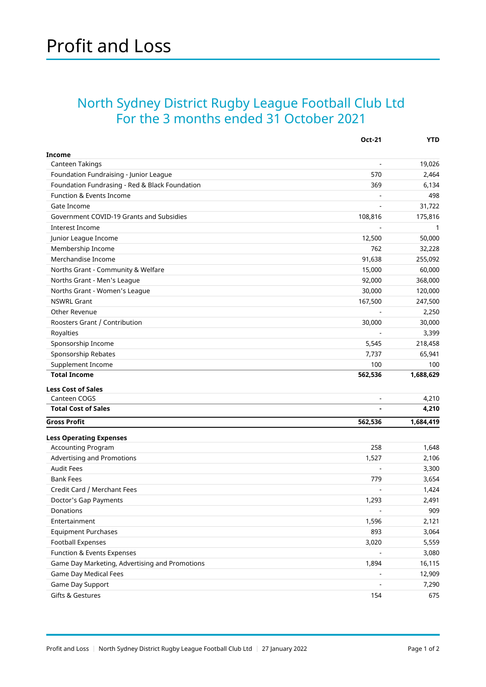## North Sydney District Rugby League Football Club Ltd For the 3 months ended 31 October 2021

|                                                             | <b>Oct-21</b>            | <b>YTD</b> |
|-------------------------------------------------------------|--------------------------|------------|
| <b>Income</b>                                               |                          |            |
| Canteen Takings                                             |                          | 19,026     |
| Foundation Fundraising - Junior League                      | 570                      | 2,464      |
| Foundation Fundrasing - Red & Black Foundation              | 369                      | 6,134      |
| Function & Events Income                                    |                          | 498        |
| Gate Income                                                 |                          | 31,722     |
| Government COVID-19 Grants and Subsidies                    | 108,816                  | 175,816    |
| <b>Interest Income</b>                                      |                          | 1          |
| Junior League Income                                        | 12,500                   | 50,000     |
| Membership Income                                           | 762                      | 32,228     |
| Merchandise Income                                          | 91,638                   | 255,092    |
| Norths Grant - Community & Welfare                          | 15,000                   | 60,000     |
| Norths Grant - Men's League                                 | 92,000                   | 368,000    |
| Norths Grant - Women's League                               | 30,000                   | 120,000    |
| <b>NSWRL Grant</b>                                          | 167,500                  | 247,500    |
| Other Revenue                                               |                          | 2,250      |
| Roosters Grant / Contribution                               | 30,000                   | 30,000     |
| Royalties                                                   |                          | 3,399      |
| Sponsorship Income                                          | 5,545                    | 218,458    |
| Sponsorship Rebates                                         | 7,737                    | 65,941     |
| Supplement Income                                           | 100                      | 100        |
| <b>Total Income</b>                                         | 562,536                  | 1,688,629  |
| <b>Less Cost of Sales</b>                                   |                          |            |
| Canteen COGS                                                | $\overline{\phantom{a}}$ | 4,210      |
| <b>Total Cost of Sales</b>                                  |                          | 4,210      |
| <b>Gross Profit</b>                                         | 562,536                  | 1,684,419  |
|                                                             |                          |            |
| <b>Less Operating Expenses</b><br><b>Accounting Program</b> | 258                      | 1,648      |
| Advertising and Promotions                                  |                          |            |
| <b>Audit Fees</b>                                           | 1,527                    | 2,106      |
| <b>Bank Fees</b>                                            | 779                      | 3,300      |
| Credit Card / Merchant Fees                                 |                          | 3,654      |
|                                                             |                          | 1,424      |
| Doctor's Gap Payments<br>Donations                          | 1,293                    | 2,491      |
|                                                             | $\overline{\phantom{a}}$ | 909        |
| Entertainment                                               | 1,596                    | 2,121      |
| <b>Equipment Purchases</b>                                  | 893                      | 3,064      |
| <b>Football Expenses</b>                                    | 3,020                    | 5,559      |
| Function & Events Expenses                                  |                          | 3,080      |
| Game Day Marketing, Advertising and Promotions              | 1,894                    | 16,115     |
| Game Day Medical Fees                                       |                          | 12,909     |
| Game Day Support                                            |                          | 7,290      |
| Gifts & Gestures                                            | 154                      | 675        |